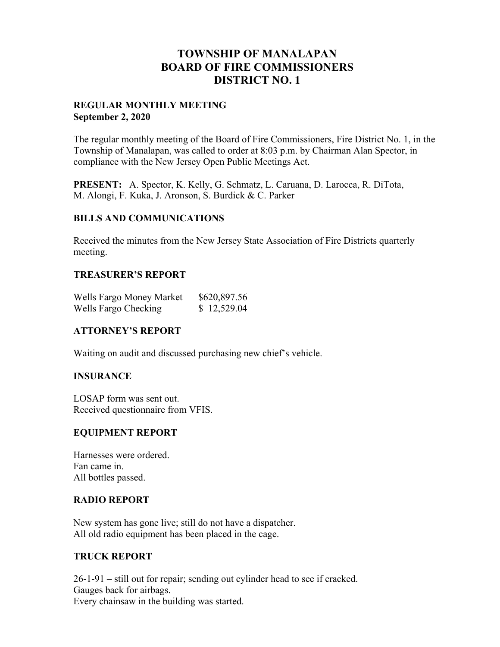# **TOWNSHIP OF MANALAPAN BOARD OF FIRE COMMISSIONERS DISTRICT NO. 1**

## **REGULAR MONTHLY MEETING September 2, 2020**

The regular monthly meeting of the Board of Fire Commissioners, Fire District No. 1, in the Township of Manalapan, was called to order at 8:03 p.m. by Chairman Alan Spector, in compliance with the New Jersey Open Public Meetings Act.

**PRESENT:** A. Spector, K. Kelly, G. Schmatz, L. Caruana, D. Larocca, R. DiTota, M. Alongi, F. Kuka, J. Aronson, S. Burdick & C. Parker

## **BILLS AND COMMUNICATIONS**

Received the minutes from the New Jersey State Association of Fire Districts quarterly meeting.

## **TREASURER'S REPORT**

| Wells Fargo Money Market | \$620,897.56 |
|--------------------------|--------------|
| Wells Fargo Checking     | \$12,529.04  |

## **ATTORNEY'S REPORT**

Waiting on audit and discussed purchasing new chief's vehicle.

## **INSURANCE**

LOSAP form was sent out. Received questionnaire from VFIS.

## **EQUIPMENT REPORT**

Harnesses were ordered. Fan came in. All bottles passed.

## **RADIO REPORT**

New system has gone live; still do not have a dispatcher. All old radio equipment has been placed in the cage.

## **TRUCK REPORT**

26-1-91 – still out for repair; sending out cylinder head to see if cracked. Gauges back for airbags. Every chainsaw in the building was started.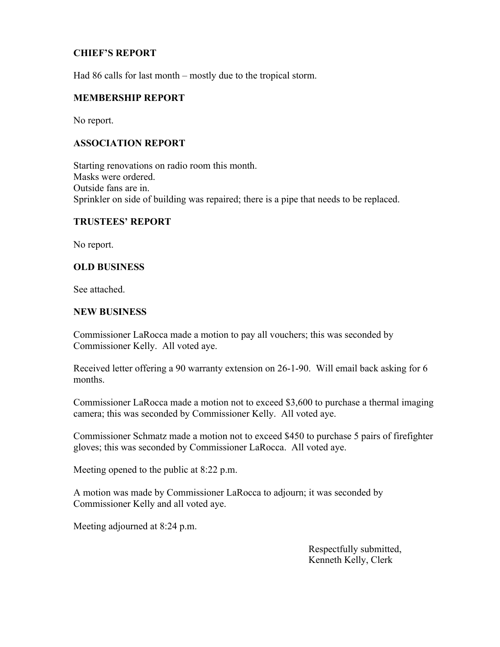## **CHIEF'S REPORT**

Had 86 calls for last month – mostly due to the tropical storm.

#### **MEMBERSHIP REPORT**

No report.

## **ASSOCIATION REPORT**

Starting renovations on radio room this month. Masks were ordered. Outside fans are in. Sprinkler on side of building was repaired; there is a pipe that needs to be replaced.

## **TRUSTEES' REPORT**

No report.

## **OLD BUSINESS**

See attached.

#### **NEW BUSINESS**

Commissioner LaRocca made a motion to pay all vouchers; this was seconded by Commissioner Kelly. All voted aye.

Received letter offering a 90 warranty extension on 26-1-90. Will email back asking for 6 months.

Commissioner LaRocca made a motion not to exceed \$3,600 to purchase a thermal imaging camera; this was seconded by Commissioner Kelly. All voted aye.

Commissioner Schmatz made a motion not to exceed \$450 to purchase 5 pairs of firefighter gloves; this was seconded by Commissioner LaRocca. All voted aye.

Meeting opened to the public at 8:22 p.m.

A motion was made by Commissioner LaRocca to adjourn; it was seconded by Commissioner Kelly and all voted aye.

Meeting adjourned at 8:24 p.m.

 Respectfully submitted, Kenneth Kelly, Clerk